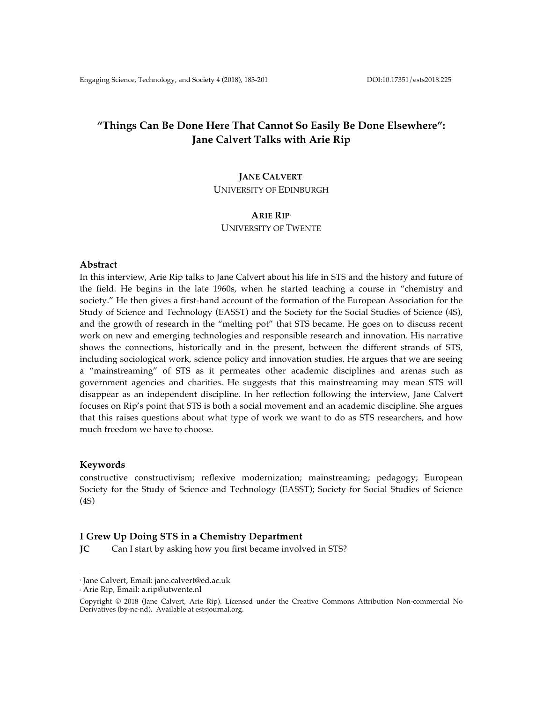# **"Things Can Be Done Here That Cannot So Easily Be Done Elsewhere": Jane Calvert Talks with Arie Rip**

# **JANE CALVERT**<sup>1</sup>

UNIVERSITY OF EDINBURGH

## **ARIE RIP**<sup>2</sup>

UNIVERSITY OF TWENTE

#### **Abstract**

In this interview, Arie Rip talks to Jane Calvert about his life in STS and the history and future of the field. He begins in the late 1960s, when he started teaching a course in "chemistry and society." He then gives a first-hand account of the formation of the European Association for the Study of Science and Technology (EASST) and the Society for the Social Studies of Science (4S), and the growth of research in the "melting pot" that STS became. He goes on to discuss recent work on new and emerging technologies and responsible research and innovation. His narrative shows the connections, historically and in the present, between the different strands of STS, including sociological work, science policy and innovation studies. He argues that we are seeing a "mainstreaming" of STS as it permeates other academic disciplines and arenas such as government agencies and charities. He suggests that this mainstreaming may mean STS will disappear as an independent discipline. In her reflection following the interview, Jane Calvert focuses on Rip's point that STS is both a social movement and an academic discipline. She argues that this raises questions about what type of work we want to do as STS researchers, and how much freedom we have to choose.

### **Keywords**

constructive constructivism; reflexive modernization; mainstreaming; pedagogy; European Society for the Study of Science and Technology (EASST); Society for Social Studies of Science (4S)

# **I Grew Up Doing STS in a Chemistry Department**

**JC** Can I start by asking how you first became involved in STS?

<sup>1</sup> Jane Calvert, Email: jane.calvert@ed.ac.uk

<sup>2</sup> Arie Rip, Email: a.rip@utwente.nl

Copyright © 2018 (Jane Calvert, Arie Rip). Licensed under the Creative Commons Attribution Non-commercial No Derivatives (by-nc-nd). Available at estsjournal.org.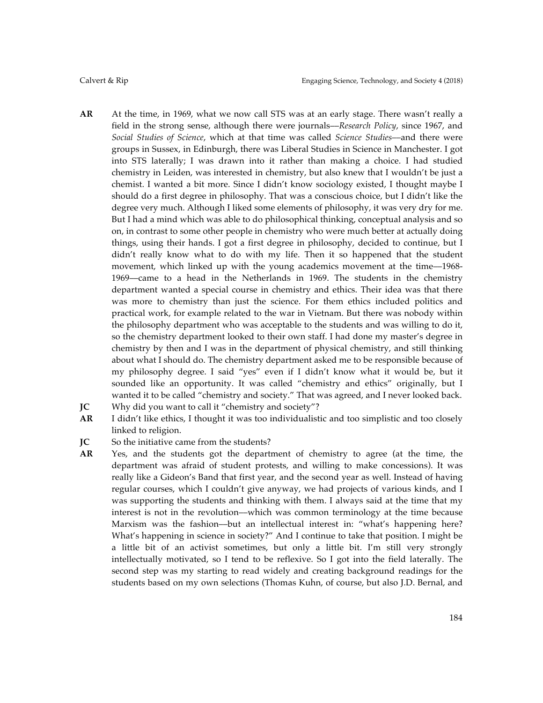- **AR** At the time, in 1969, what we now call STS was at an early stage. There wasn't really a field in the strong sense, although there were journals––*Research Policy*, since 1967, and *Social Studies of Science*, which at that time was called *Science Studies*––and there were groups in Sussex, in Edinburgh, there was Liberal Studies in Science in Manchester. I got into STS laterally; I was drawn into it rather than making a choice. I had studied chemistry in Leiden, was interested in chemistry, but also knew that I wouldn't be just a chemist. I wanted a bit more. Since I didn't know sociology existed, I thought maybe I should do a first degree in philosophy. That was a conscious choice, but I didn't like the degree very much. Although I liked some elements of philosophy, it was very dry for me. But I had a mind which was able to do philosophical thinking, conceptual analysis and so on, in contrast to some other people in chemistry who were much better at actually doing things, using their hands. I got a first degree in philosophy, decided to continue, but I didn't really know what to do with my life. Then it so happened that the student movement, which linked up with the young academics movement at the time–1968-1969––came to a head in the Netherlands in 1969. The students in the chemistry department wanted a special course in chemistry and ethics. Their idea was that there was more to chemistry than just the science. For them ethics included politics and practical work, for example related to the war in Vietnam. But there was nobody within the philosophy department who was acceptable to the students and was willing to do it, so the chemistry department looked to their own staff. I had done my master's degree in chemistry by then and I was in the department of physical chemistry, and still thinking about what I should do. The chemistry department asked me to be responsible because of my philosophy degree. I said "yes" even if I didn't know what it would be, but it sounded like an opportunity. It was called "chemistry and ethics" originally, but I wanted it to be called "chemistry and society." That was agreed, and I never looked back. **JC** Why did you want to call it "chemistry and society"?
- 
- **AR** I didn't like ethics, I thought it was too individualistic and too simplistic and too closely linked to religion.
- **JC** So the initiative came from the students?
- **AR** Yes, and the students got the department of chemistry to agree (at the time, the department was afraid of student protests, and willing to make concessions). It was really like a Gideon's Band that first year, and the second year as well. Instead of having regular courses, which I couldn't give anyway, we had projects of various kinds, and I was supporting the students and thinking with them. I always said at the time that my interest is not in the revolution––which was common terminology at the time because Marxism was the fashion––but an intellectual interest in: "what's happening here? What's happening in science in society?" And I continue to take that position. I might be a little bit of an activist sometimes, but only a little bit. I'm still very strongly intellectually motivated, so I tend to be reflexive. So I got into the field laterally. The second step was my starting to read widely and creating background readings for the students based on my own selections (Thomas Kuhn, of course, but also J.D. Bernal, and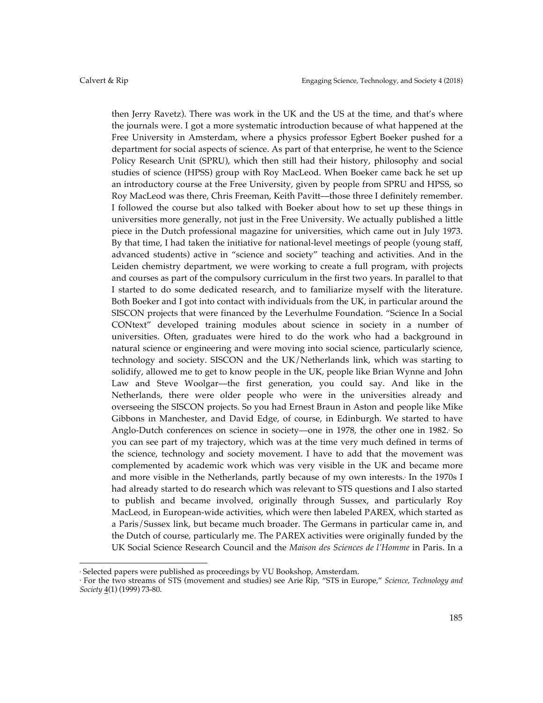then Jerry Ravetz). There was work in the UK and the US at the time, and that's where the journals were. I got a more systematic introduction because of what happened at the Free University in Amsterdam, where a physics professor Egbert Boeker pushed for a department for social aspects of science. As part of that enterprise, he went to the Science Policy Research Unit (SPRU), which then still had their history, philosophy and social studies of science (HPSS) group with Roy MacLeod. When Boeker came back he set up an introductory course at the Free University, given by people from SPRU and HPSS, so Roy MacLeod was there, Chris Freeman, Keith Pavitt––those three I definitely remember. I followed the course but also talked with Boeker about how to set up these things in universities more generally, not just in the Free University. We actually published a little piece in the Dutch professional magazine for universities, which came out in July 1973. By that time, I had taken the initiative for national-level meetings of people (young staff, advanced students) active in "science and society" teaching and activities. And in the Leiden chemistry department, we were working to create a full program, with projects and courses as part of the compulsory curriculum in the first two years. In parallel to that I started to do some dedicated research, and to familiarize myself with the literature. Both Boeker and I got into contact with individuals from the UK, in particular around the SISCON projects that were financed by the Leverhulme Foundation. "Science In a Social CONtext" developed training modules about science in society in a number of universities. Often, graduates were hired to do the work who had a background in natural science or engineering and were moving into social science, particularly science, technology and society. SISCON and the UK/Netherlands link, which was starting to solidify, allowed me to get to know people in the UK, people like Brian Wynne and John Law and Steve Woolgar––the first generation, you could say. And like in the Netherlands, there were older people who were in the universities already and overseeing the SISCON projects. So you had Ernest Braun in Aston and people like Mike Gibbons in Manchester, and David Edge, of course, in Edinburgh. We started to have Anglo-Dutch conferences on science in society—one in 1978, the other one in 1982. So you can see part of my trajectory, which was at the time very much defined in terms of the science, technology and society movement. I have to add that the movement was complemented by academic work which was very visible in the UK and became more and more visible in the Netherlands, partly because of my own interests. In the 1970s I had already started to do research which was relevant to STS questions and I also started to publish and became involved, originally through Sussex, and particularly Roy MacLeod, in European-wide activities, which were then labeled PAREX, which started as a Paris/Sussex link, but became much broader. The Germans in particular came in, and the Dutch of course, particularly me. The PAREX activities were originally funded by the UK Social Science Research Council and the *Maison des Sciences de l'Homme* in Paris. In a

<sup>3</sup> Selected papers were published as proceedings by VU Bookshop, Amsterdam.

<sup>4</sup> For the two streams of STS (movement and studies) see Arie Rip, "STS in Europe," *Science, Technology and Society* 4(1) (1999) 73-80.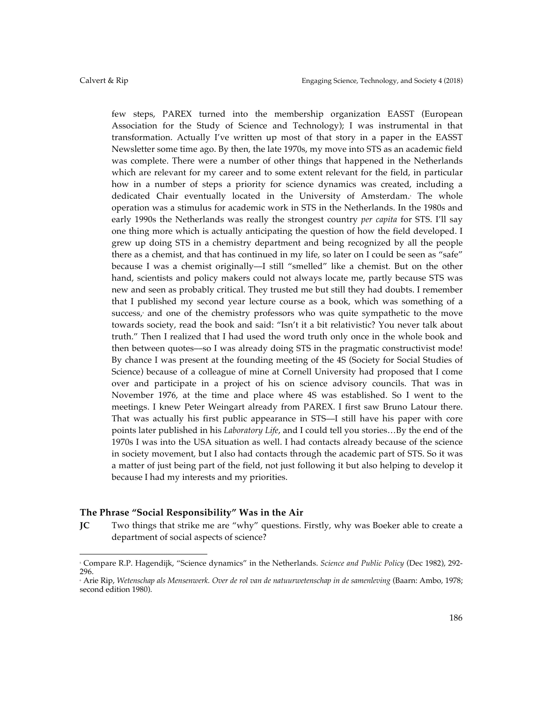few steps, PAREX turned into the membership organization EASST (European Association for the Study of Science and Technology); I was instrumental in that transformation. Actually I've written up most of that story in a paper in the EASST Newsletter some time ago. By then, the late 1970s, my move into STS as an academic field was complete. There were a number of other things that happened in the Netherlands which are relevant for my career and to some extent relevant for the field, in particular how in a number of steps a priority for science dynamics was created, including a dedicated Chair eventually located in the University of Amsterdam.<sup>5</sup> The whole operation was a stimulus for academic work in STS in the Netherlands. In the 1980s and early 1990s the Netherlands was really the strongest country *per capita* for STS. I'll say one thing more which is actually anticipating the question of how the field developed. I grew up doing STS in a chemistry department and being recognized by all the people there as a chemist, and that has continued in my life, so later on I could be seen as "safe" because I was a chemist originally––I still "smelled" like a chemist. But on the other hand, scientists and policy makers could not always locate me, partly because STS was new and seen as probably critical. They trusted me but still they had doubts. I remember that I published my second year lecture course as a book, which was something of a success, and one of the chemistry professors who was quite sympathetic to the move towards society, read the book and said: "Isn't it a bit relativistic? You never talk about truth." Then I realized that I had used the word truth only once in the whole book and then between quotes––so I was already doing STS in the pragmatic constructivist mode! By chance I was present at the founding meeting of the 4S (Society for Social Studies of Science) because of a colleague of mine at Cornell University had proposed that I come over and participate in a project of his on science advisory councils. That was in November 1976, at the time and place where 4S was established. So I went to the meetings. I knew Peter Weingart already from PAREX. I first saw Bruno Latour there. That was actually his first public appearance in STS––I still have his paper with core points later published in his *Laboratory Life*, and I could tell you stories…By the end of the 1970s I was into the USA situation as well. I had contacts already because of the science in society movement, but I also had contacts through the academic part of STS. So it was a matter of just being part of the field, not just following it but also helping to develop it because I had my interests and my priorities.

# **The Phrase "Social Responsibility" Was in the Air**

 

**JC** Two things that strike me are "why" questions. Firstly, why was Boeker able to create a department of social aspects of science?

<sup>5</sup> Compare R.P. Hagendijk, "Science dynamics" in the Netherlands. *Science and Public Policy* (Dec 1982), 292- 296.

<sup>6</sup> Arie Rip, *Wetenschap als Mensenwerk. Over de rol van de natuurwetenschap in de samenleving* (Baarn: Ambo, 1978; second edition 1980).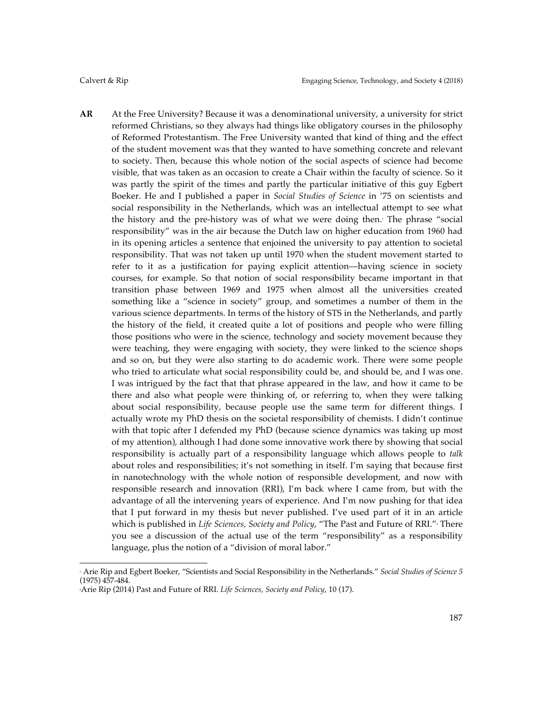**AR** At the Free University? Because it was a denominational university, a university for strict reformed Christians, so they always had things like obligatory courses in the philosophy of Reformed Protestantism. The Free University wanted that kind of thing and the effect of the student movement was that they wanted to have something concrete and relevant to society. Then, because this whole notion of the social aspects of science had become visible, that was taken as an occasion to create a Chair within the faculty of science. So it was partly the spirit of the times and partly the particular initiative of this guy Egbert Boeker. He and I published a paper in *Social Studies of Science* in '75 on scientists and social responsibility in the Netherlands, which was an intellectual attempt to see what the history and the pre-history was of what we were doing then.7 The phrase "social responsibility" was in the air because the Dutch law on higher education from 1960 had in its opening articles a sentence that enjoined the university to pay attention to societal responsibility. That was not taken up until 1970 when the student movement started to refer to it as a justification for paying explicit attention––having science in society courses, for example. So that notion of social responsibility became important in that transition phase between 1969 and 1975 when almost all the universities created something like a "science in society" group, and sometimes a number of them in the various science departments. In terms of the history of STS in the Netherlands, and partly the history of the field, it created quite a lot of positions and people who were filling those positions who were in the science, technology and society movement because they were teaching, they were engaging with society, they were linked to the science shops and so on, but they were also starting to do academic work. There were some people who tried to articulate what social responsibility could be, and should be, and I was one. I was intrigued by the fact that that phrase appeared in the law, and how it came to be there and also what people were thinking of, or referring to, when they were talking about social responsibility, because people use the same term for different things. I actually wrote my PhD thesis on the societal responsibility of chemists. I didn't continue with that topic after I defended my PhD (because science dynamics was taking up most of my attention), although I had done some innovative work there by showing that social responsibility is actually part of a responsibility language which allows people to *talk* about roles and responsibilities; it's not something in itself. I'm saying that because first in nanotechnology with the whole notion of responsible development, and now with responsible research and innovation (RRI), I'm back where I came from, but with the advantage of all the intervening years of experience. And I'm now pushing for that idea that I put forward in my thesis but never published. I've used part of it in an article which is published in *Life Sciences, Society and Policy,* "The Past and Future of RRI."<sup>,</sup> There you see a discussion of the actual use of the term "responsibility" as a responsibility language, plus the notion of a "division of moral labor."

<sup>7</sup> Arie Rip and Egbert Boeker, "Scientists and Social Responsibility in the Netherlands." *Social Studies of Science 5* (1975) 457-484.

<sup>8</sup> Arie Rip (2014) Past and Future of RRI. *Life Sciences, Society and Policy*, 10 (17).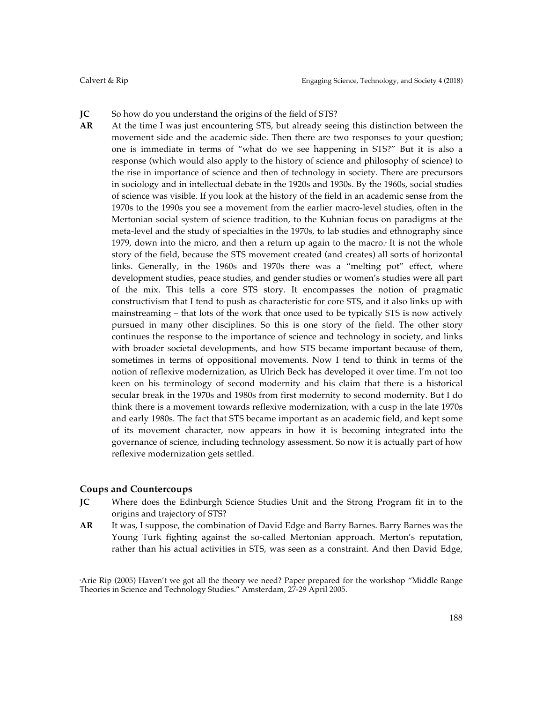#### **JC** So how do you understand the origins of the field of STS?

**AR** At the time I was just encountering STS, but already seeing this distinction between the movement side and the academic side. Then there are two responses to your question; one is immediate in terms of "what do we see happening in STS?" But it is also a response (which would also apply to the history of science and philosophy of science) to the rise in importance of science and then of technology in society. There are precursors in sociology and in intellectual debate in the 1920s and 1930s. By the 1960s, social studies of science was visible. If you look at the history of the field in an academic sense from the 1970s to the 1990s you see a movement from the earlier macro-level studies, often in the Mertonian social system of science tradition, to the Kuhnian focus on paradigms at the meta-level and the study of specialties in the 1970s, to lab studies and ethnography since 1979, down into the micro, and then a return up again to the macro. $\ell$  It is not the whole story of the field, because the STS movement created (and creates) all sorts of horizontal links. Generally, in the 1960s and 1970s there was a "melting pot" effect, where development studies, peace studies, and gender studies or women's studies were all part of the mix. This tells a core STS story. It encompasses the notion of pragmatic constructivism that I tend to push as characteristic for core STS, and it also links up with mainstreaming – that lots of the work that once used to be typically STS is now actively pursued in many other disciplines. So this is one story of the field. The other story continues the response to the importance of science and technology in society, and links with broader societal developments, and how STS became important because of them, sometimes in terms of oppositional movements. Now I tend to think in terms of the notion of reflexive modernization, as Ulrich Beck has developed it over time. I'm not too keen on his terminology of second modernity and his claim that there is a historical secular break in the 1970s and 1980s from first modernity to second modernity. But I do think there is a movement towards reflexive modernization, with a cusp in the late 1970s and early 1980s. The fact that STS became important as an academic field, and kept some of its movement character, now appears in how it is becoming integrated into the governance of science, including technology assessment. So now it is actually part of how reflexive modernization gets settled.

## **Coups and Countercoups**

- **JC** Where does the Edinburgh Science Studies Unit and the Strong Program fit in to the origins and trajectory of STS?
- **AR** It was, I suppose, the combination of David Edge and Barry Barnes. Barry Barnes was the Young Turk fighting against the so-called Mertonian approach. Merton's reputation, rather than his actual activities in STS, was seen as a constraint. And then David Edge,

<sup>9</sup> Arie Rip (2005) Haven't we got all the theory we need? Paper prepared for the workshop "Middle Range Theories in Science and Technology Studies." Amsterdam, 27-29 April 2005.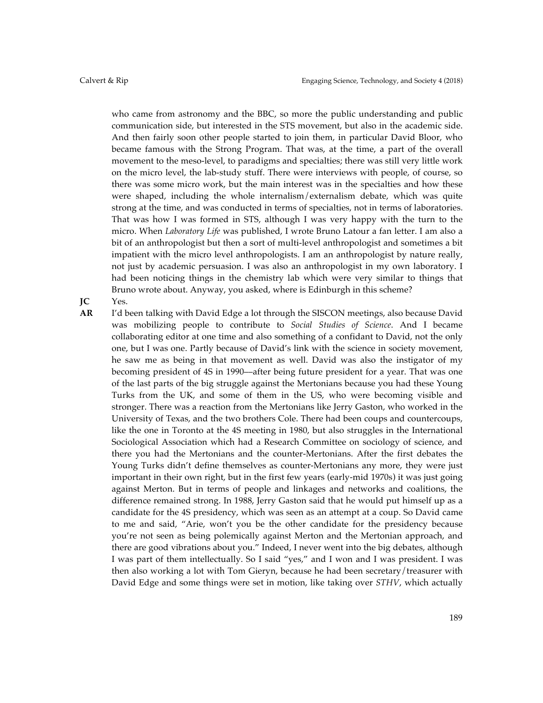who came from astronomy and the BBC, so more the public understanding and public communication side, but interested in the STS movement, but also in the academic side. And then fairly soon other people started to join them, in particular David Bloor, who became famous with the Strong Program. That was, at the time, a part of the overall movement to the meso-level, to paradigms and specialties; there was still very little work on the micro level, the lab-study stuff. There were interviews with people, of course, so there was some micro work, but the main interest was in the specialties and how these were shaped, including the whole internalism/externalism debate, which was quite strong at the time, and was conducted in terms of specialties, not in terms of laboratories. That was how I was formed in STS, although I was very happy with the turn to the micro. When *Laboratory Life* was published, I wrote Bruno Latour a fan letter. I am also a bit of an anthropologist but then a sort of multi-level anthropologist and sometimes a bit impatient with the micro level anthropologists. I am an anthropologist by nature really, not just by academic persuasion. I was also an anthropologist in my own laboratory. I had been noticing things in the chemistry lab which were very similar to things that Bruno wrote about. Anyway, you asked, where is Edinburgh in this scheme?

**JC** Yes.

**AR** I'd been talking with David Edge a lot through the SISCON meetings, also because David was mobilizing people to contribute to *Social Studies of Science*. And I became collaborating editor at one time and also something of a confidant to David, not the only one, but I was one. Partly because of David's link with the science in society movement, he saw me as being in that movement as well. David was also the instigator of my becoming president of 4S in 1990––after being future president for a year. That was one of the last parts of the big struggle against the Mertonians because you had these Young Turks from the UK, and some of them in the US, who were becoming visible and stronger. There was a reaction from the Mertonians like Jerry Gaston, who worked in the University of Texas, and the two brothers Cole. There had been coups and countercoups, like the one in Toronto at the 4S meeting in 1980, but also struggles in the International Sociological Association which had a Research Committee on sociology of science, and there you had the Mertonians and the counter-Mertonians. After the first debates the Young Turks didn't define themselves as counter-Mertonians any more, they were just important in their own right, but in the first few years (early-mid 1970s) it was just going against Merton. But in terms of people and linkages and networks and coalitions, the difference remained strong. In 1988, Jerry Gaston said that he would put himself up as a candidate for the 4S presidency, which was seen as an attempt at a coup. So David came to me and said, "Arie, won't you be the other candidate for the presidency because you're not seen as being polemically against Merton and the Mertonian approach, and there are good vibrations about you." Indeed, I never went into the big debates, although I was part of them intellectually. So I said "yes," and I won and I was president. I was then also working a lot with Tom Gieryn, because he had been secretary/treasurer with David Edge and some things were set in motion, like taking over *STHV*, which actually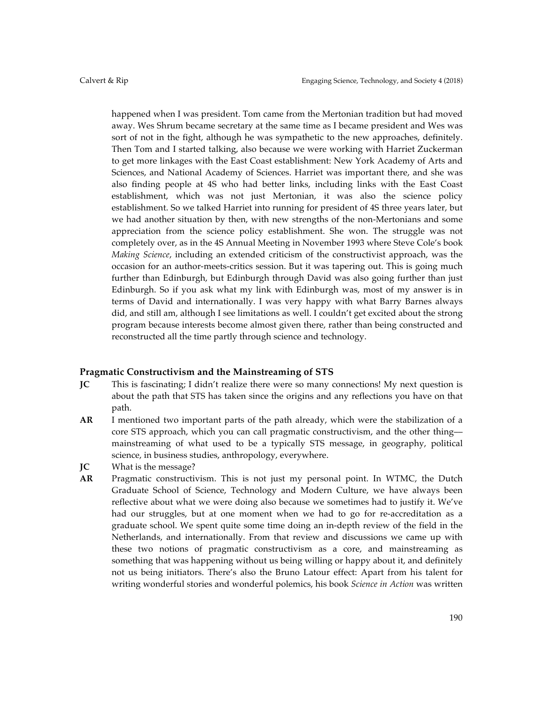happened when I was president. Tom came from the Mertonian tradition but had moved away. Wes Shrum became secretary at the same time as I became president and Wes was sort of not in the fight, although he was sympathetic to the new approaches, definitely. Then Tom and I started talking, also because we were working with Harriet Zuckerman to get more linkages with the East Coast establishment: New York Academy of Arts and Sciences, and National Academy of Sciences. Harriet was important there, and she was also finding people at 4S who had better links, including links with the East Coast establishment, which was not just Mertonian, it was also the science policy establishment. So we talked Harriet into running for president of 4S three years later, but we had another situation by then, with new strengths of the non-Mertonians and some appreciation from the science policy establishment. She won. The struggle was not completely over, as in the 4S Annual Meeting in November 1993 where Steve Cole's book *Making Science*, including an extended criticism of the constructivist approach, was the occasion for an author-meets-critics session. But it was tapering out. This is going much further than Edinburgh, but Edinburgh through David was also going further than just Edinburgh. So if you ask what my link with Edinburgh was, most of my answer is in terms of David and internationally. I was very happy with what Barry Barnes always did, and still am, although I see limitations as well. I couldn't get excited about the strong program because interests become almost given there, rather than being constructed and reconstructed all the time partly through science and technology.

## **Pragmatic Constructivism and the Mainstreaming of STS**

- **JC** This is fascinating; I didn't realize there were so many connections! My next question is about the path that STS has taken since the origins and any reflections you have on that path.
- **AR** I mentioned two important parts of the path already, which were the stabilization of a core STS approach, which you can call pragmatic constructivism, and the other thing–– mainstreaming of what used to be a typically STS message, in geography, political science, in business studies, anthropology, everywhere.
- **JC** What is the message?
- **AR** Pragmatic constructivism. This is not just my personal point. In WTMC, the Dutch Graduate School of Science, Technology and Modern Culture, we have always been reflective about what we were doing also because we sometimes had to justify it. We've had our struggles, but at one moment when we had to go for re-accreditation as a graduate school. We spent quite some time doing an in-depth review of the field in the Netherlands, and internationally. From that review and discussions we came up with these two notions of pragmatic constructivism as a core, and mainstreaming as something that was happening without us being willing or happy about it, and definitely not us being initiators. There's also the Bruno Latour effect: Apart from his talent for writing wonderful stories and wonderful polemics, his book *Science in Action* was written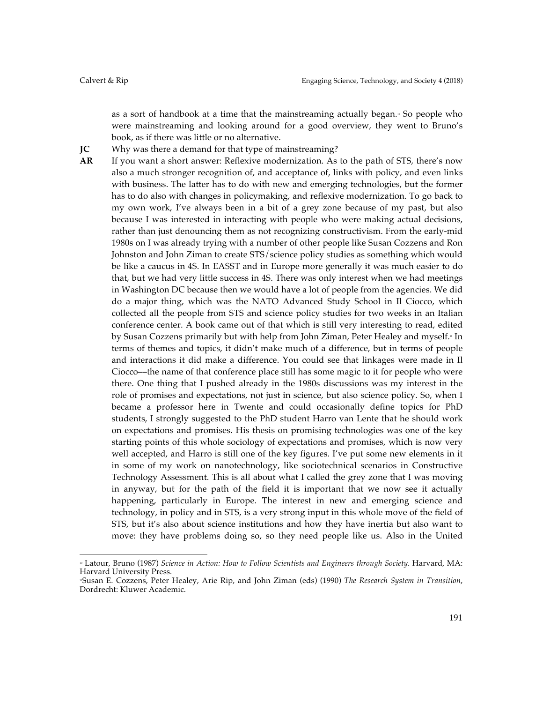as a sort of handbook at a time that the mainstreaming actually began.<sup>8</sup> So people who were mainstreaming and looking around for a good overview, they went to Bruno's book, as if there was little or no alternative.

- **JC** Why was there a demand for that type of mainstreaming?
- **AR** If you want a short answer: Reflexive modernization. As to the path of STS, there's now also a much stronger recognition of, and acceptance of, links with policy, and even links with business. The latter has to do with new and emerging technologies, but the former has to do also with changes in policymaking, and reflexive modernization. To go back to my own work, I've always been in a bit of a grey zone because of my past, but also because I was interested in interacting with people who were making actual decisions, rather than just denouncing them as not recognizing constructivism. From the early-mid 1980s on I was already trying with a number of other people like Susan Cozzens and Ron Johnston and John Ziman to create STS/science policy studies as something which would be like a caucus in 4S. In EASST and in Europe more generally it was much easier to do that, but we had very little success in 4S. There was only interest when we had meetings in Washington DC because then we would have a lot of people from the agencies. We did do a major thing, which was the NATO Advanced Study School in Il Ciocco, which collected all the people from STS and science policy studies for two weeks in an Italian conference center. A book came out of that which is still very interesting to read, edited by Susan Cozzens primarily but with help from John Ziman, Peter Healey and myself.<sup>11</sup> In terms of themes and topics, it didn't make much of a difference, but in terms of people and interactions it did make a difference. You could see that linkages were made in Il Ciocco––the name of that conference place still has some magic to it for people who were there. One thing that I pushed already in the 1980s discussions was my interest in the role of promises and expectations, not just in science, but also science policy. So, when I became a professor here in Twente and could occasionally define topics for PhD students, I strongly suggested to the PhD student Harro van Lente that he should work on expectations and promises. His thesis on promising technologies was one of the key starting points of this whole sociology of expectations and promises, which is now very well accepted, and Harro is still one of the key figures. I've put some new elements in it in some of my work on nanotechnology, like sociotechnical scenarios in Constructive Technology Assessment. This is all about what I called the grey zone that I was moving in anyway, but for the path of the field it is important that we now see it actually happening, particularly in Europe. The interest in new and emerging science and technology, in policy and in STS, is a very strong input in this whole move of the field of STS, but it's also about science institutions and how they have inertia but also want to move: they have problems doing so, so they need people like us. Also in the United

<sup>10</sup> Latour, Bruno (1987) *Science in Action: How to Follow Scientists and Engineers through Society*. Harvard, MA: Harvard University Press.

<sup>11</sup>Susan E. Cozzens, Peter Healey, Arie Rip, and John Ziman (eds) (1990) *The Research System in Transition*, Dordrecht: Kluwer Academic.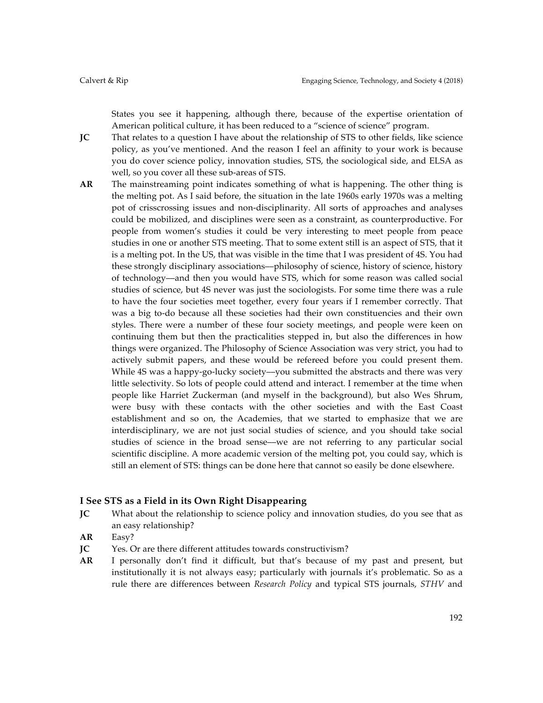States you see it happening, although there, because of the expertise orientation of American political culture, it has been reduced to a "science of science" program.

**JC** That relates to a question I have about the relationship of STS to other fields, like science policy, as you've mentioned. And the reason I feel an affinity to your work is because you do cover science policy, innovation studies, STS, the sociological side, and ELSA as well, so you cover all these sub-areas of STS.

**AR** The mainstreaming point indicates something of what is happening. The other thing is the melting pot. As I said before, the situation in the late 1960s early 1970s was a melting pot of crisscrossing issues and non-disciplinarity. All sorts of approaches and analyses could be mobilized, and disciplines were seen as a constraint, as counterproductive. For people from women's studies it could be very interesting to meet people from peace studies in one or another STS meeting. That to some extent still is an aspect of STS, that it is a melting pot. In the US, that was visible in the time that I was president of 4S. You had these strongly disciplinary associations––philosophy of science, history of science, history of technology––and then you would have STS, which for some reason was called social studies of science, but 4S never was just the sociologists. For some time there was a rule to have the four societies meet together, every four years if I remember correctly. That was a big to-do because all these societies had their own constituencies and their own styles. There were a number of these four society meetings, and people were keen on continuing them but then the practicalities stepped in, but also the differences in how things were organized. The Philosophy of Science Association was very strict, you had to actively submit papers, and these would be refereed before you could present them. While 4S was a happy-go-lucky society––you submitted the abstracts and there was very little selectivity. So lots of people could attend and interact. I remember at the time when people like Harriet Zuckerman (and myself in the background), but also Wes Shrum, were busy with these contacts with the other societies and with the East Coast establishment and so on, the Academies, that we started to emphasize that we are interdisciplinary, we are not just social studies of science, and you should take social studies of science in the broad sense––we are not referring to any particular social scientific discipline. A more academic version of the melting pot, you could say, which is still an element of STS: things can be done here that cannot so easily be done elsewhere.

# **I See STS as a Field in its Own Right Disappearing**

- **JC** What about the relationship to science policy and innovation studies, do you see that as an easy relationship?
- **AR** Easy?
- **JC** Yes. Or are there different attitudes towards constructivism?
- **AR** I personally don't find it difficult, but that's because of my past and present, but institutionally it is not always easy; particularly with journals it's problematic. So as a rule there are differences between *Research Policy* and typical STS journals, *STHV* and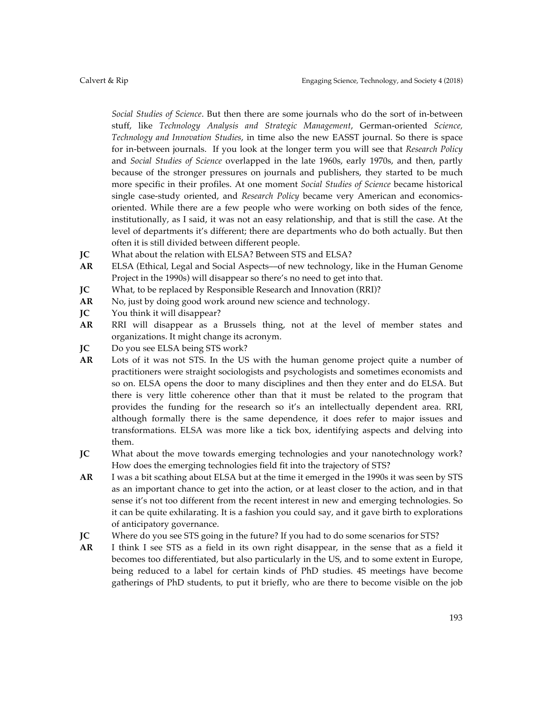*Social Studies of Science*. But then there are some journals who do the sort of in-between stuff, like *Technology Analysis and Strategic Management*, German-oriented *Science, Technology and Innovation Studies*, in time also the new EASST journal. So there is space for in-between journals. If you look at the longer term you will see that *Research Policy* and *Social Studies of Science* overlapped in the late 1960s, early 1970s, and then, partly because of the stronger pressures on journals and publishers, they started to be much more specific in their profiles. At one moment *Social Studies of Science* became historical single case-study oriented, and *Research Policy* became very American and economicsoriented. While there are a few people who were working on both sides of the fence, institutionally, as I said, it was not an easy relationship, and that is still the case. At the level of departments it's different; there are departments who do both actually. But then often it is still divided between different people.

- **JC** What about the relation with ELSA? Between STS and ELSA?
- **AR** ELSA (Ethical, Legal and Social Aspects––of new technology, like in the Human Genome Project in the 1990s) will disappear so there's no need to get into that.
- **JC** What, to be replaced by Responsible Research and Innovation (RRI)?
- AR No, just by doing good work around new science and technology.
- **JC** You think it will disappear?
- **AR** RRI will disappear as a Brussels thing, not at the level of member states and organizations. It might change its acronym.
- **JC** Do you see ELSA being STS work?
- **AR** Lots of it was not STS. In the US with the human genome project quite a number of practitioners were straight sociologists and psychologists and sometimes economists and so on. ELSA opens the door to many disciplines and then they enter and do ELSA. But there is very little coherence other than that it must be related to the program that provides the funding for the research so it's an intellectually dependent area. RRI, although formally there is the same dependence, it does refer to major issues and transformations. ELSA was more like a tick box, identifying aspects and delving into them.
- **JC** What about the move towards emerging technologies and your nanotechnology work? How does the emerging technologies field fit into the trajectory of STS?
- **AR** I was a bit scathing about ELSA but at the time it emerged in the 1990s it was seen by STS as an important chance to get into the action, or at least closer to the action, and in that sense it's not too different from the recent interest in new and emerging technologies. So it can be quite exhilarating. It is a fashion you could say, and it gave birth to explorations of anticipatory governance.
- **JC** Where do you see STS going in the future? If you had to do some scenarios for STS?
- **AR** I think I see STS as a field in its own right disappear, in the sense that as a field it becomes too differentiated, but also particularly in the US, and to some extent in Europe, being reduced to a label for certain kinds of PhD studies. 4S meetings have become gatherings of PhD students, to put it briefly, who are there to become visible on the job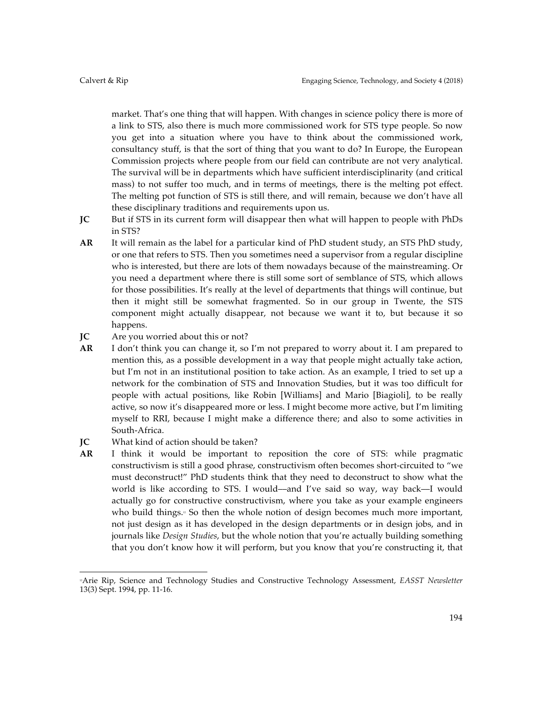market. That's one thing that will happen. With changes in science policy there is more of a link to STS, also there is much more commissioned work for STS type people. So now you get into a situation where you have to think about the commissioned work, consultancy stuff, is that the sort of thing that you want to do? In Europe, the European Commission projects where people from our field can contribute are not very analytical. The survival will be in departments which have sufficient interdisciplinarity (and critical mass) to not suffer too much, and in terms of meetings, there is the melting pot effect. The melting pot function of STS is still there, and will remain, because we don't have all these disciplinary traditions and requirements upon us.

- **JC** But if STS in its current form will disappear then what will happen to people with PhDs in STS?
- **AR** It will remain as the label for a particular kind of PhD student study, an STS PhD study, or one that refers to STS. Then you sometimes need a supervisor from a regular discipline who is interested, but there are lots of them nowadays because of the mainstreaming. Or you need a department where there is still some sort of semblance of STS, which allows for those possibilities. It's really at the level of departments that things will continue, but then it might still be somewhat fragmented. So in our group in Twente, the STS component might actually disappear, not because we want it to, but because it so happens.
- **JC** Are you worried about this or not?
- **AR** I don't think you can change it, so I'm not prepared to worry about it. I am prepared to mention this, as a possible development in a way that people might actually take action, but I'm not in an institutional position to take action. As an example, I tried to set up a network for the combination of STS and Innovation Studies, but it was too difficult for people with actual positions, like Robin [Williams] and Mario [Biagioli], to be really active, so now it's disappeared more or less. I might become more active, but I'm limiting myself to RRI, because I might make a difference there; and also to some activities in South-Africa.

# **JC** What kind of action should be taken?

**AR** I think it would be important to reposition the core of STS: while pragmatic constructivism is still a good phrase, constructivism often becomes short-circuited to "we must deconstruct!" PhD students think that they need to deconstruct to show what the world is like according to STS. I would––and I've said so way, way back––I would actually go for constructive constructivism, where you take as your example engineers who build things.<sup>2</sup> So then the whole notion of design becomes much more important, not just design as it has developed in the design departments or in design jobs, and in journals like *Design Studies*, but the whole notion that you're actually building something that you don't know how it will perform, but you know that you're constructing it, that

 12Arie Rip, Science and Technology Studies and Constructive Technology Assessment, *EASST Newsletter* 13(3) Sept. 1994, pp. 11-16.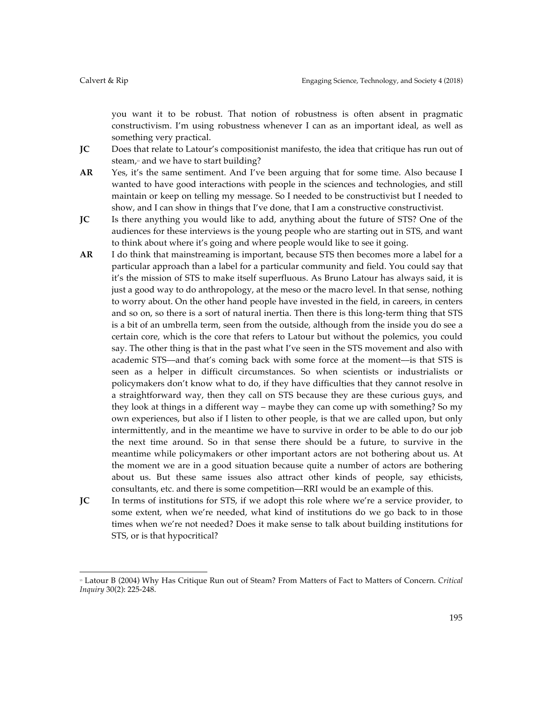you want it to be robust. That notion of robustness is often absent in pragmatic constructivism. I'm using robustness whenever I can as an important ideal, as well as something very practical.

- **JC** Does that relate to Latour's compositionist manifesto, the idea that critique has run out of steam,<sup>3</sup> and we have to start building?
- **AR** Yes, it's the same sentiment. And I've been arguing that for some time. Also because I wanted to have good interactions with people in the sciences and technologies, and still maintain or keep on telling my message. So I needed to be constructivist but I needed to show, and I can show in things that I've done, that I am a constructive constructivist.
- **JC** Is there anything you would like to add, anything about the future of STS? One of the audiences for these interviews is the young people who are starting out in STS, and want to think about where it's going and where people would like to see it going.
- **AR** I do think that mainstreaming is important, because STS then becomes more a label for a particular approach than a label for a particular community and field. You could say that it's the mission of STS to make itself superfluous. As Bruno Latour has always said, it is just a good way to do anthropology, at the meso or the macro level. In that sense, nothing to worry about. On the other hand people have invested in the field, in careers, in centers and so on, so there is a sort of natural inertia. Then there is this long-term thing that STS is a bit of an umbrella term, seen from the outside, although from the inside you do see a certain core, which is the core that refers to Latour but without the polemics, you could say. The other thing is that in the past what I've seen in the STS movement and also with academic STS––and that's coming back with some force at the moment––is that STS is seen as a helper in difficult circumstances. So when scientists or industrialists or policymakers don't know what to do, if they have difficulties that they cannot resolve in a straightforward way, then they call on STS because they are these curious guys, and they look at things in a different way – maybe they can come up with something? So my own experiences, but also if I listen to other people, is that we are called upon, but only intermittently, and in the meantime we have to survive in order to be able to do our job the next time around. So in that sense there should be a future, to survive in the meantime while policymakers or other important actors are not bothering about us. At the moment we are in a good situation because quite a number of actors are bothering about us. But these same issues also attract other kinds of people, say ethicists, consultants, etc. and there is some competition––RRI would be an example of this.
- **JC** In terms of institutions for STS, if we adopt this role where we're a service provider, to some extent, when we're needed, what kind of institutions do we go back to in those times when we're not needed? Does it make sense to talk about building institutions for STS, or is that hypocritical?

<sup>13</sup> Latour B (2004) Why Has Critique Run out of Steam? From Matters of Fact to Matters of Concern. *Critical Inquiry* 30(2): 225-248.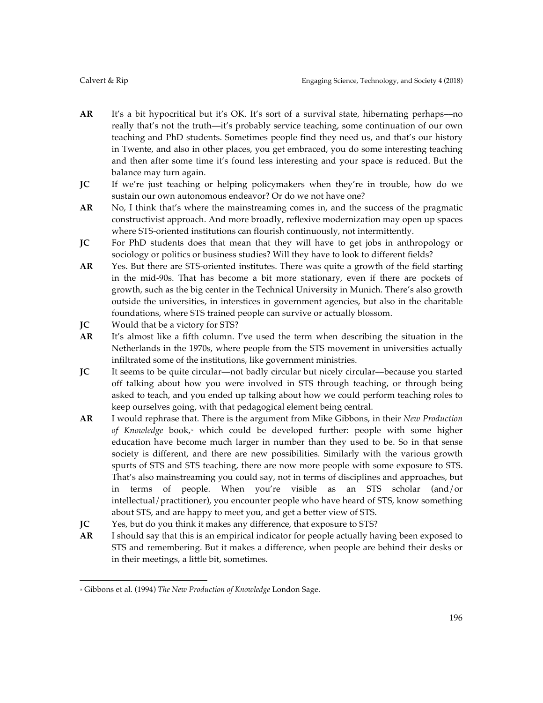- **AR** It's a bit hypocritical but it's OK. It's sort of a survival state, hibernating perhaps––no really that's not the truth––it's probably service teaching, some continuation of our own teaching and PhD students. Sometimes people find they need us, and that's our history in Twente, and also in other places, you get embraced, you do some interesting teaching and then after some time it's found less interesting and your space is reduced. But the balance may turn again.
- **JC** If we're just teaching or helping policymakers when they're in trouble, how do we sustain our own autonomous endeavor? Or do we not have one?
- **AR** No, I think that's where the mainstreaming comes in, and the success of the pragmatic constructivist approach. And more broadly, reflexive modernization may open up spaces where STS-oriented institutions can flourish continuously, not intermittently.
- **JC** For PhD students does that mean that they will have to get jobs in anthropology or sociology or politics or business studies? Will they have to look to different fields?
- **AR** Yes. But there are STS-oriented institutes. There was quite a growth of the field starting in the mid-90s. That has become a bit more stationary, even if there are pockets of growth, such as the big center in the Technical University in Munich. There's also growth outside the universities, in interstices in government agencies, but also in the charitable foundations, where STS trained people can survive or actually blossom.
- **JC** Would that be a victory for STS?
- **AR** It's almost like a fifth column. I've used the term when describing the situation in the Netherlands in the 1970s, where people from the STS movement in universities actually infiltrated some of the institutions, like government ministries.
- **JC** It seems to be quite circular—not badly circular but nicely circular—because you started off talking about how you were involved in STS through teaching, or through being asked to teach, and you ended up talking about how we could perform teaching roles to keep ourselves going, with that pedagogical element being central.
- **AR** I would rephrase that. There is the argument from Mike Gibbons, in their *New Production*  of Knowledge book,<sup>4</sup> which could be developed further: people with some higher education have become much larger in number than they used to be. So in that sense society is different, and there are new possibilities. Similarly with the various growth spurts of STS and STS teaching, there are now more people with some exposure to STS. That's also mainstreaming you could say, not in terms of disciplines and approaches, but in terms of people. When you're visible as an STS scholar (and/or intellectual/practitioner), you encounter people who have heard of STS, know something about STS, and are happy to meet you, and get a better view of STS.
- **JC** Yes, but do you think it makes any difference, that exposure to STS?
- **AR** I should say that this is an empirical indicator for people actually having been exposed to STS and remembering. But it makes a difference, when people are behind their desks or in their meetings, a little bit, sometimes.

 <sup>14</sup> Gibbons et al. (1994) *The New Production of Knowledge* London Sage.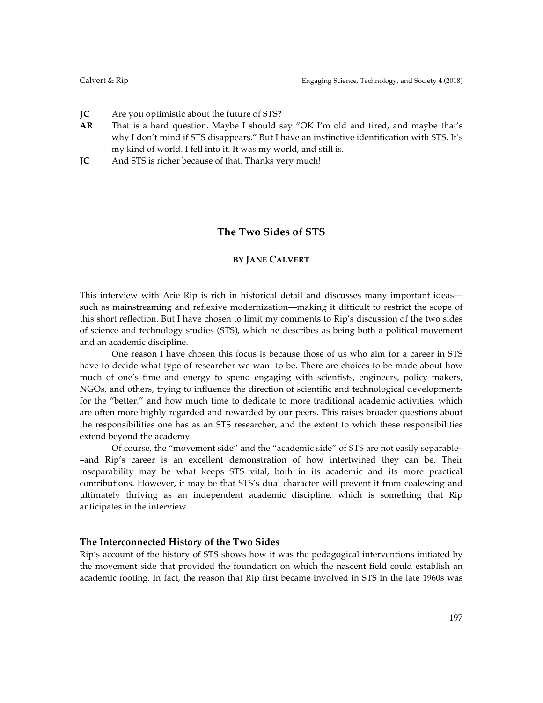- **JC** Are you optimistic about the future of STS?
- **AR** That is a hard question. Maybe I should say "OK I'm old and tired, and maybe that's why I don't mind if STS disappears." But I have an instinctive identification with STS. It's my kind of world. I fell into it. It was my world, and still is.
- **JC** And STS is richer because of that. Thanks very much!

# **The Two Sides of STS**

## **BY JANE CALVERT**

This interview with Arie Rip is rich in historical detail and discusses many important ideas such as mainstreaming and reflexive modernization––making it difficult to restrict the scope of this short reflection. But I have chosen to limit my comments to Rip's discussion of the two sides of science and technology studies (STS), which he describes as being both a political movement and an academic discipline.

One reason I have chosen this focus is because those of us who aim for a career in STS have to decide what type of researcher we want to be. There are choices to be made about how much of one's time and energy to spend engaging with scientists, engineers, policy makers, NGOs, and others, trying to influence the direction of scientific and technological developments for the "better," and how much time to dedicate to more traditional academic activities, which are often more highly regarded and rewarded by our peers. This raises broader questions about the responsibilities one has as an STS researcher, and the extent to which these responsibilities extend beyond the academy.

Of course, the "movement side" and the "academic side" of STS are not easily separable– –and Rip's career is an excellent demonstration of how intertwined they can be. Their inseparability may be what keeps STS vital, both in its academic and its more practical contributions. However, it may be that STS's dual character will prevent it from coalescing and ultimately thriving as an independent academic discipline, which is something that Rip anticipates in the interview.

# **The Interconnected History of the Two Sides**

Rip's account of the history of STS shows how it was the pedagogical interventions initiated by the movement side that provided the foundation on which the nascent field could establish an academic footing. In fact, the reason that Rip first became involved in STS in the late 1960s was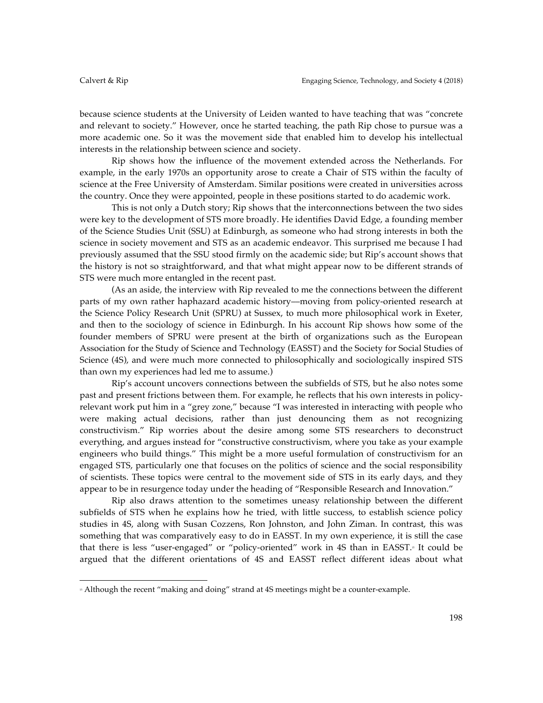because science students at the University of Leiden wanted to have teaching that was "concrete and relevant to society." However, once he started teaching, the path Rip chose to pursue was a more academic one. So it was the movement side that enabled him to develop his intellectual interests in the relationship between science and society.

Rip shows how the influence of the movement extended across the Netherlands. For example, in the early 1970s an opportunity arose to create a Chair of STS within the faculty of science at the Free University of Amsterdam. Similar positions were created in universities across the country. Once they were appointed, people in these positions started to do academic work.

This is not only a Dutch story; Rip shows that the interconnections between the two sides were key to the development of STS more broadly. He identifies David Edge, a founding member of the Science Studies Unit (SSU) at Edinburgh, as someone who had strong interests in both the science in society movement and STS as an academic endeavor. This surprised me because I had previously assumed that the SSU stood firmly on the academic side; but Rip's account shows that the history is not so straightforward, and that what might appear now to be different strands of STS were much more entangled in the recent past.

(As an aside, the interview with Rip revealed to me the connections between the different parts of my own rather haphazard academic history––moving from policy-oriented research at the Science Policy Research Unit (SPRU) at Sussex, to much more philosophical work in Exeter, and then to the sociology of science in Edinburgh. In his account Rip shows how some of the founder members of SPRU were present at the birth of organizations such as the European Association for the Study of Science and Technology (EASST) and the Society for Social Studies of Science (4S), and were much more connected to philosophically and sociologically inspired STS than own my experiences had led me to assume.)

Rip's account uncovers connections between the subfields of STS, but he also notes some past and present frictions between them. For example, he reflects that his own interests in policyrelevant work put him in a "grey zone," because "I was interested in interacting with people who were making actual decisions, rather than just denouncing them as not recognizing constructivism." Rip worries about the desire among some STS researchers to deconstruct everything, and argues instead for "constructive constructivism, where you take as your example engineers who build things." This might be a more useful formulation of constructivism for an engaged STS, particularly one that focuses on the politics of science and the social responsibility of scientists. These topics were central to the movement side of STS in its early days, and they appear to be in resurgence today under the heading of "Responsible Research and Innovation."

Rip also draws attention to the sometimes uneasy relationship between the different subfields of STS when he explains how he tried, with little success, to establish science policy studies in 4S, along with Susan Cozzens, Ron Johnston, and John Ziman. In contrast, this was something that was comparatively easy to do in EASST. In my own experience, it is still the case that there is less "user-engaged" or "policy-oriented" work in 4S than in EASST.<sup>®</sup> It could be argued that the different orientations of 4S and EASST reflect different ideas about what

<sup>&</sup>lt;sup>8</sup> Although the recent "making and doing" strand at 4S meetings might be a counter-example.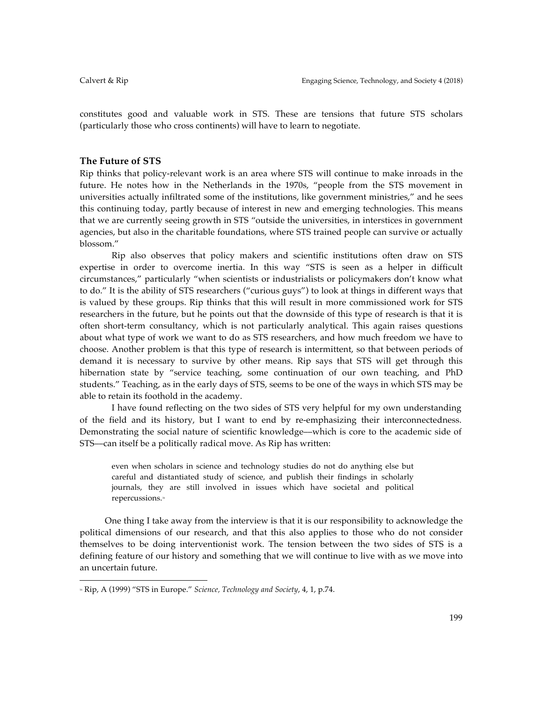constitutes good and valuable work in STS. These are tensions that future STS scholars (particularly those who cross continents) will have to learn to negotiate.

# **The Future of STS**

Rip thinks that policy-relevant work is an area where STS will continue to make inroads in the future. He notes how in the Netherlands in the 1970s, "people from the STS movement in universities actually infiltrated some of the institutions, like government ministries," and he sees this continuing today, partly because of interest in new and emerging technologies. This means that we are currently seeing growth in STS "outside the universities, in interstices in government agencies, but also in the charitable foundations, where STS trained people can survive or actually blossom."

Rip also observes that policy makers and scientific institutions often draw on STS expertise in order to overcome inertia. In this way "STS is seen as a helper in difficult circumstances," particularly "when scientists or industrialists or policymakers don't know what to do." It is the ability of STS researchers ("curious guys") to look at things in different ways that is valued by these groups. Rip thinks that this will result in more commissioned work for STS researchers in the future, but he points out that the downside of this type of research is that it is often short-term consultancy, which is not particularly analytical. This again raises questions about what type of work we want to do as STS researchers, and how much freedom we have to choose. Another problem is that this type of research is intermittent, so that between periods of demand it is necessary to survive by other means. Rip says that STS will get through this hibernation state by "service teaching, some continuation of our own teaching, and PhD students." Teaching, as in the early days of STS, seems to be one of the ways in which STS may be able to retain its foothold in the academy.

I have found reflecting on the two sides of STS very helpful for my own understanding of the field and its history, but I want to end by re-emphasizing their interconnectedness. Demonstrating the social nature of scientific knowledge––which is core to the academic side of STS––can itself be a politically radical move. As Rip has written:

even when scholars in science and technology studies do not do anything else but careful and distantiated study of science, and publish their findings in scholarly journals, they are still involved in issues which have societal and political repercussions.16

One thing I take away from the interview is that it is our responsibility to acknowledge the political dimensions of our research, and that this also applies to those who do not consider themselves to be doing interventionist work. The tension between the two sides of STS is a defining feature of our history and something that we will continue to live with as we move into an uncertain future.

<sup>16</sup> Rip, A (1999) "STS in Europe." *Science, Technology and Society*, 4, 1, p.74.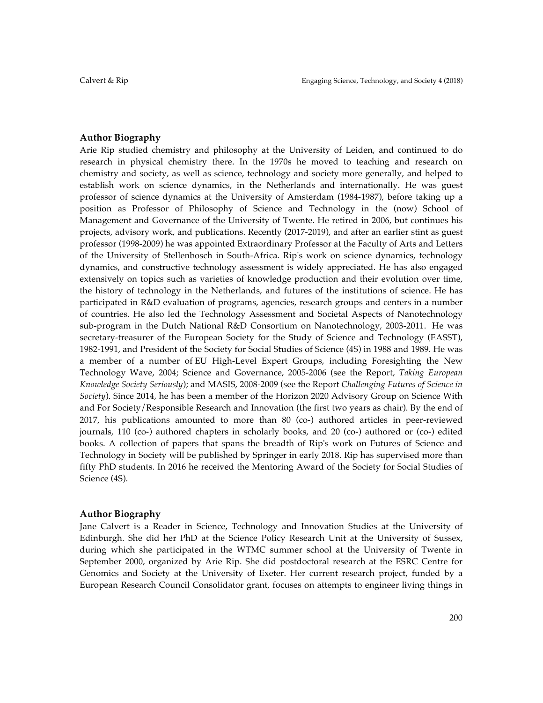# **Author Biography**

Arie Rip studied chemistry and philosophy at the University of Leiden, and continued to do research in physical chemistry there. In the 1970s he moved to teaching and research on chemistry and society, as well as science, technology and society more generally, and helped to establish work on science dynamics, in the Netherlands and internationally. He was guest professor of science dynamics at the University of Amsterdam (1984-1987), before taking up a position as Professor of Philosophy of Science and Technology in the (now) School of Management and Governance of the University of Twente. He retired in 2006, but continues his projects, advisory work, and publications. Recently (2017-2019), and after an earlier stint as guest professor (1998-2009) he was appointed Extraordinary Professor at the Faculty of Arts and Letters of the University of Stellenbosch in South-Africa. Rip's work on science dynamics, technology dynamics, and constructive technology assessment is widely appreciated. He has also engaged extensively on topics such as varieties of knowledge production and their evolution over time, the history of technology in the Netherlands, and futures of the institutions of science. He has participated in R&D evaluation of programs, agencies, research groups and centers in a number of countries. He also led the Technology Assessment and Societal Aspects of Nanotechnology sub-program in the Dutch National R&D Consortium on Nanotechnology, 2003-2011. He was secretary-treasurer of the European Society for the Study of Science and Technology (EASST), 1982-1991, and President of the Society for Social Studies of Science (4S) in 1988 and 1989. He was a member of a number of EU High-Level Expert Groups, including Foresighting the New Technology Wave, 2004; Science and Governance, 2005-2006 (see the Report, *Taking European Knowledge Society Seriously*); and MASIS, 2008-2009 (see the Report *Challenging Futures of Science in Society*). Since 2014, he has been a member of the Horizon 2020 Advisory Group on Science With and For Society/Responsible Research and Innovation (the first two years as chair). By the end of 2017, his publications amounted to more than 80 (co-) authored articles in peer-reviewed journals, 110 (co-) authored chapters in scholarly books, and 20 (co-) authored or (co-) edited books. A collection of papers that spans the breadth of Rip's work on Futures of Science and Technology in Society will be published by Springer in early 2018. Rip has supervised more than fifty PhD students. In 2016 he received the Mentoring Award of the Society for Social Studies of Science (4S).

## **Author Biography**

Jane Calvert is a Reader in Science, Technology and Innovation Studies at the University of Edinburgh. She did her PhD at the Science Policy Research Unit at the University of Sussex, during which she participated in the WTMC summer school at the University of Twente in September 2000, organized by Arie Rip. She did postdoctoral research at the ESRC Centre for Genomics and Society at the University of Exeter. Her current research project, funded by a European Research Council Consolidator grant, focuses on attempts to engineer living things in